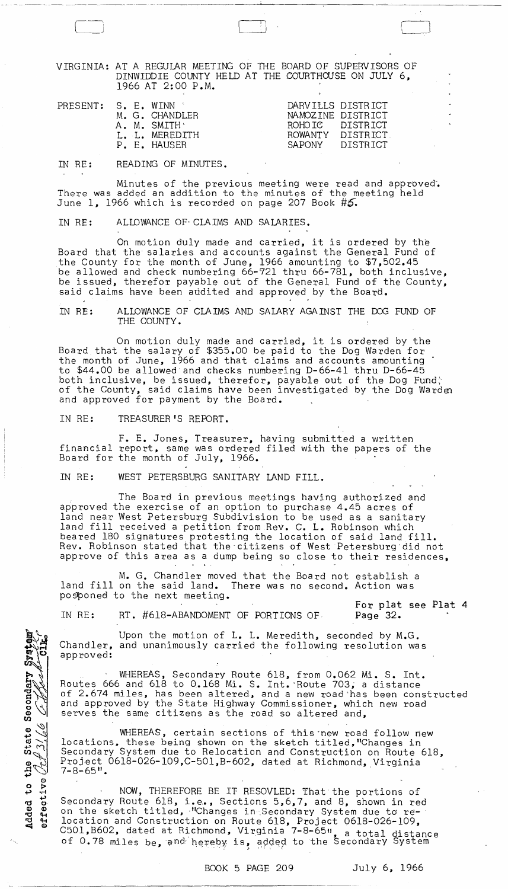VIRGINIA: AT A REGULAR MEETING OF THE BOARD OF SUPERVISORS OF DINWIDDIE COUNTY HELD AT THE COURTHOUSE ON JULY 6, 1966 AT 2:00 P.M.

 $\begin{bmatrix} 0 & 0 & 0 \\ 0 & 0 & 0 \\ 0 & 0 & 0 \\ 0 & 0 & 0 \\ 0 & 0 & 0 \\ 0 & 0 & 0 \\ 0 & 0 & 0 \\ 0 & 0 & 0 \\ 0 & 0 & 0 \\ 0 & 0 & 0 \\ 0 & 0 & 0 \\ 0 & 0 & 0 & 0 \\ 0 & 0 & 0 & 0 \\ 0 & 0 & 0 & 0 \\ 0 & 0 & 0 & 0 & 0 \\ 0 & 0 & 0 & 0 & 0 \\ 0 & 0 & 0 & 0 & 0 \\ 0 & 0 & 0 & 0 & 0 & 0 \\ 0 & 0 & 0 & 0 & 0 &$ 

|  | PRESENT: S. E. WINN * |  |  | M. G. CHANDLER<br>A. M. SMITH .<br>L. L. MEREDITH<br>P. E. HAUSER | ROWANTY DISTRICT<br>SAPONY | DARVILLS DISTRICT<br>NAMOZINE DISTRICT<br>ROHOTC DISTRICT<br>DISTRICT |
|--|-----------------------|--|--|-------------------------------------------------------------------|----------------------------|-----------------------------------------------------------------------|
|--|-----------------------|--|--|-------------------------------------------------------------------|----------------------------|-----------------------------------------------------------------------|

IN RE: READING OF MINUTES.

Minutes of the previous meeting were read and approved. There was added an addition to the minutes of the meeting held June 1, 1966 which is recorded on page 207 Book #5.

IN RE: ALIDWANCE OF' CLAIMS AND SALARIES.

On motion duly made and carried, it is ordered by the Board that the salaries and accounts against the General Fund of the County for the month of June, 1966 amounting to \$7,502.45 be allowed and check numbering 66-721 thru 66-781, both inclusive, be issued, therefor payable out of the General Fund of the County, said claims have been audited and approved by the Board.

IN RE: ALLOWANCE OF CLAIMS AND SALARY AGAINST THE DOG FUND OF THE COUNTY.

On motion duly made and carried, it is ordered by the Board that the salary of \$355.00 be paid to the Dog Warden for the month of June, 1966 and that claims and accounts amounting to \$44.00 be allowed· and checks numbering D-66-41 thru D-66-45 both inclusive, be issued, therefor, payable out of the Dog Fund. of the County, said claims have been investigated by the Dog Warden and approved for payment by the Board.

IN RE: TREASURER'S REPORT.

Secondary Sys

Added to the State<br>effective  $\mathcal{L}^{43}/\mathcal{L}$ 

 $\mathcal{O}$  $\bullet$ 

F. E. Jones, Treasurer, having submitted a written financial report, same was ordered filed with the papers of the Board for the month of July, 1966.

IN RE: WEST PETERSBURG SANITARY LAND FILL.

The Board in previous meetings having authorized and approved the exercise of an option to purchase 4.45 acres of land near West Petersburg Subdivision to be used as a sanitary land fill received a petition from Rev. C. L. Robinson which beared 180 signatures protesting the location of said land fill. Rev. Robinson stated that the citizens of West Petersburg did not approve of this area as a dump being so close to their residences,

M. G. Chandler moved that the Board not establish a land filIon the said land. There was no second. Action was posponed to the next meeting.

IN RE: RT. #618-ABANDOMENT OF PORTIONS OF

For plat see Plat 4 Page 32.

Upon the motion of L. L. Meredith, seconded by M.G. Chandler, and unanimously carried the following resolution was approved:

WHEREAS, Secondary Route 618, from 0.062 Mi. S. Int. Routes 666 and 618 to 0.168 Mi. S. Int. Route 703, a distance of 2.674 miles, has been altered, and a new road'has been constructed and approved by the State Highway Commissioner, which new road serves the same citizens as the road so altered and,

WHEREAS, certain sections of this "new road follow new locations, these being shown on the sketch titled, "Changes in Secondary System due to Relocation and Construction on Route 618, Project 0618-026-109, C-501, B-602, dated at Richmond, Virginia 7-8-65".

NOW, THEREFORE BE IT RESOVLED: That the portions of Secondary Route 618, i.e., Sections 5,6,7, and 8, shown in red occondary noute ord, res, Sectrons 3,0, , and 0, shown in red<br>on the sketch titled, "Changes in Secondary System due to re-<br>location and Construction on Route 618, Project 0618-026-109, C501,B602, dated at Richmond, Virginia 7-8-65", a total distance<br>of 0.78 miles be, and hereby is, added to the Secondary System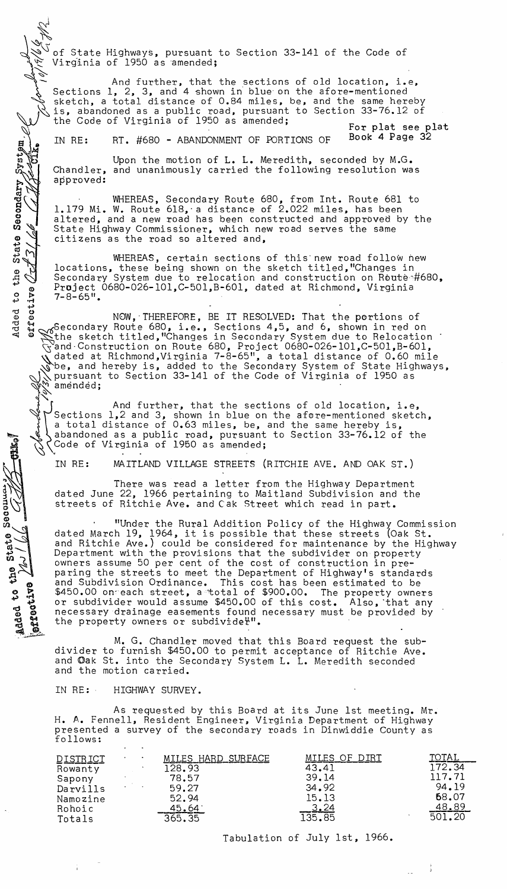of State Highways, pursuant to Section 33-141 of the Code of  $Vir\widetilde{\alpha}$  as amended;

 $\ell\geqslant 1$ And further, that the sections of old location, i.e, Sections  $1, 2, 3$ , and  $4$  shown in blue on the afore-mentioned sketch, a total distance of 0.84 miles, be, and the same hereby is, abandoned as a public road, pursuant to Section 33-76.12 of the Code of Virginia of 1950 as amended; And further, that the sections of old location, i.e,<br>Sections 1, 2, 3, and 4 shown in blue on the afore-mentioned<br>sketch, a total distance of 0.84 miles, be, and the same hereby<br>is, abandoned as a public road, pursuant to

IN RE: RT. #680 - ABANDONMENT OF PORTIONS OF Book 4 Page 32

Secondary System.

State  $\sim$ 

the

დ<br>თ

State

Added to the

**PETOCLIVE** 

Upon the motion of L. L. Meredith, seconded by M.G. Chandler, and unanimously carried the following resolution was approved:

WHEREAS, Secondary Route 680, from Int. Route 681 to 1.179 Mi. W. Route 618,-a distance of 2.022 miles, has been altered, and a new road has been constructed and approved by the State Highway Commissioner, which new road serves the same citizens as the road so altered and,

WHEREAS, certain sections of this new road follow new locations, these being shown on the sketch titled,"Changes in Secondary System due to relocation and construction on Route $~#680$ , Project 0680-026-101,C-501,B-601, dated at Richmond, Virginia  $7 - 8 - 65$ ".

 $t\frac{t}{\mathbf{v}}$ B g c G MOW, THEREFORE, BE IT RESOLVED: That the portions of<br>B g Secondary Route 680, i.e., Sections 4,5, and 6, shown in red of Et of Secondary Route 680, i.e., Sections 4,5, and 6, shown in red on <sup>24</sup> & Secondary house occurs for Secondary System due to Relocation ~and·Construction on Route 680, Project 0680-026-101,C-501,B-601, dated at Richmond, Virginia 7-8-65", a total distance of 0.60 mile ~be, and hereby is, added to the Secondary System of State Highways,  $\zeta$  pursuant to Section 33-141 of the Code of Virginia of 1950 as amended;

And further, that the sections of old location, i.e, Sections  $1, 2$  and 3, shown in blue on the afore-mentioned sketch, a total distance of 0.63 miles, be, and the same hereby is, abandoned as a public road, pursuant to Section 33-76.12 of the Code of Virginia of 1950 as amended;

IN RE: MAITLAND VILLAGE STREETS (RITCHIE AVE. AND OAK ST.)

There was read a letter from the Highway Department dated June 22, 1966 pertaining to Maitland Subdivision and the streets of Ritchie Ave. and Cak Street which read in part.

. "Under the Rural Addition Policy of the Highway Commission dated March 19, 1964, it is possible that these streets {Oak St. and Ritchie Ave.) could be considered for maintenance by the Highway Department with the provisions that the subdivider on property owners assume 50 per cent of the cost of construction in preparing the streets to meet the Department of Highway's standards and Subdivision Ordinance. This cost has been estimated to be<br>\$450.00 on each street, a total of \$900.00. The property owners \$450.00 on each street, a total of \$900.00. or subdivider would assume \$450.00 of this cost. Also, that any necessary drainage easements found necessary must be provided by the property owners or subdivide"".

M. G. Chandler moved that this Board request the subdivider to furnish \$450.00 to permit acceptance of Ritchie Ave. and Oak St. into the Secondary System L. L. Meredith seconded and the motion carried.

IN RE: HIGHWAY SURVEY.

As requested by this Board at its June 1st meeting. Mr. H. A. Fennell, Resident Engineer, Virginia Department of Highway presented a survey of the secondary roads in Dinwiddie County as follows:

|                                                                                  | $\cdot$ |                                                                            |                                                             |                                                                |
|----------------------------------------------------------------------------------|---------|----------------------------------------------------------------------------|-------------------------------------------------------------|----------------------------------------------------------------|
| <u>DISTRICT</u><br>Rowanty<br>Sapony<br>Darvills<br>Namozine<br>Rohoic<br>Totals |         | MILES HARD SURFACE<br>128.93<br>78.57<br>59.27<br>52.94<br>45.64<br>365.35 | MILES OF DIRT<br>43.41<br>39.14<br>34.92<br>15.13<br>135.85 | TOTAL<br>172.34<br>117.71<br>94.19<br>68.07<br>48.89<br>501.20 |
|                                                                                  |         |                                                                            |                                                             |                                                                |

Tabulation of July 1st, 1966.

 $\sim$   $^{-1}$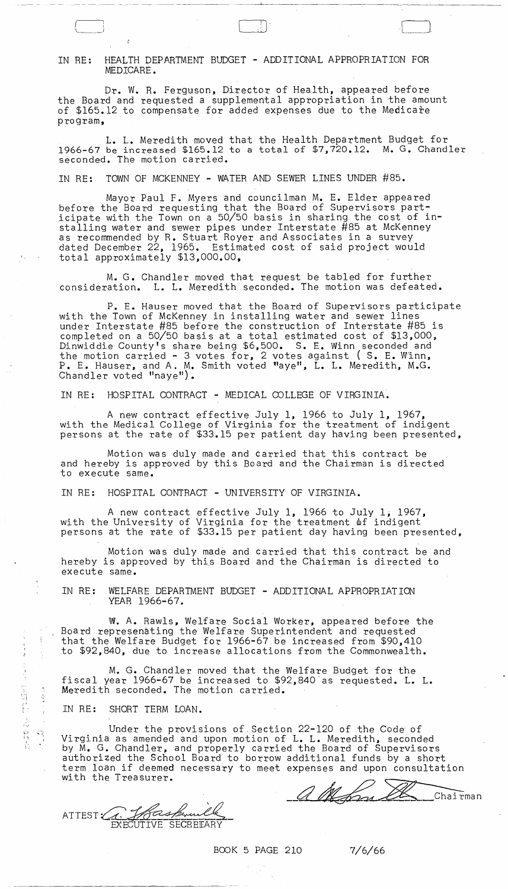## IN RE: HEALTH DEPARTMENT BUDGET - ADDITIONAL APPROPRIATION FOR MEDICARE.

------- ----------

Dr. W. R. Ferguson, Director of Health, appeared before the Board and requested a supplemental appropriation in the amount of \$165.12 to compensate for added expenses due to the Medicare program,

 $\mathbb{D}$   $\mathbb{C}$   $\mathbb{C}$   $\mathbb{C}$   $\mathbb{C}$   $\mathbb{C}$   $\mathbb{C}$   $\mathbb{C}$   $\mathbb{C}$   $\mathbb{C}$   $\mathbb{C}$   $\mathbb{C}$   $\mathbb{C}$   $\mathbb{C}$   $\mathbb{C}$   $\mathbb{C}$   $\mathbb{C}$   $\mathbb{C}$   $\mathbb{C}$   $\mathbb{C}$   $\mathbb{C}$   $\mathbb{C}$   $\mathbb{C}$   $\mathbb{C}$   $\mathbb{$ 

L. L. Meredith moved that the Health Department Budget for 1966-67 be increased \$165.12 to a total of \$7,720.12. M. G. Chandler seconded. The motion carried.

IN RE: TOWN OF MCKENNEY - WATER AND SEWER LINES UNDER #85.

Mayor Paul F. Myers and councilman M. E. Elder appeared before the Board requesting that the Board of Supervisors participate with the Town on a 50/50 basis in sharing the cost of installing water and SBwer pipes under Interstate #85 at McKenney as recommended by R. Stuart Royer and Associates in a survey dated December 22, 1965. Estimated cost of said project would total approximately \$13,000.00,

M. G. Chandler moved that request be tabled for further consideration. L. L. Meredith seconded. The motion was defeated.

P. E. Hauser moved that the Board of Supervisors participate with the Town of McKenney in installing water and sewer lines under Interstate #85 before the construction of Interstate #85 is completed on a 50/50 basis at a total estimated cost of \$13,000, Dinwiddie County's share being \$6,500. S. E. Winn seconded and the motion carried - 3 votes for, 2 votes against ( S. E. Winn, P. E. Hauser, and A. M. Smith voted "aye", L. L. Meredith, M.G. Chandler voted "naye").

IN RE: HOSPITAL CONTRACT - MEDICAL COLLEGE OF VIRGINIA.

A new contract effective July 1, 1966 to July 1, 1967, with the Medical College of Virginia for the treatment of indigent persons at the rate of \$33.15 per patient day having been presented,

Motion was duly made and carried that this contract be and hereby is approved by this Board and the Chairman is directed to execute same.

IN RE: HOSPITAL CONTRACT - UNIVERSITY OF VIRGINIA.

A new contract effective July 1, 1966 to July 1, 1967, with the University of Virginia for the treatment of indigent persons at the rate of \$33.15 per patient day having been presented,

Motion was duly made and carried that this contract be and hereby is approved by this Board and the Chairman is directed to execute same.

IN RE: WELFARE DEPARTMENT BUDGET - ADDITIONAL APPROPRIATION YEAR 1966-67.

w. A. Rawls, Welfare Social Worker, appeared before the Board represenating the Welfare Superintendent and requested that the Welfare Budget for 1966-67 be increased from \$90,410 to \$92,840, due to increase allocations from the Commonwealth.

M. G. Chandler moved that the Welfare Budget for the fiscal year 1966-67 be increased to \$92,840'as requested. L. L. Meredith seconded. The motion carried.

IN RE: SHORT TERM LOAN.

÷f.

医多角膜炎 的复数医外侧

 $\frac{1}{2}$  $\frac{\mathcal{F}_{\mathcal{G}}}{\mathcal{G}_{\mathcal{G}}^2}$  .

Under the provisions of Section 22-120 of the Code of Virginia as amended and upon motion of L. L. Meredith, seconded by M. G. Chandler, and properly carried the Board of Supervisors authorized the School Board to borrow additional funds by a short term loan if deemed necessary to meet expenses and upon consultation with the Treasurer.

ATTEST C. John Bernald

<u>a Man G</u> Chairman

BOOK 5 PAGE 210 7/6/66